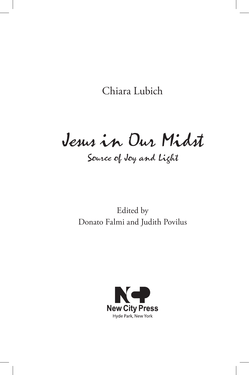Chiara Lubich

Jesus in Our Midst Source of Joy and Light

Edited by Donato Falmi and Judith Povilus

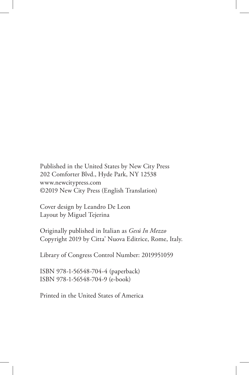Published in the United States by New City Press 202 Comforter Blvd., Hyde Park, NY 12538 www.newcitypress.com ©2019 New City Press (English Translation)

Cover design by Leandro De Leon Layout by Miguel Tejerina

Originally published in Italian as *Gesú In Mezzo* Copyright 2019 by Citta' Nuova Editrice, Rome, Italy.

Library of Congress Control Number: 2019951059

ISBN 978-1-56548-704-4 (paperback) ISBN 978-1-56548-704-9 (e-book)

Printed in the United States of America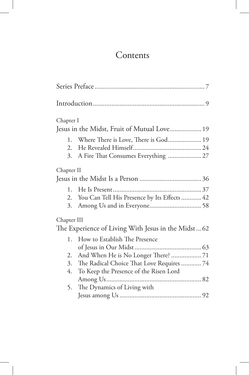# Contents

| Chapter I   |                                                     |
|-------------|-----------------------------------------------------|
|             | Jesus in the Midst, Fruit of Mutual Love 19         |
| $1_{-}$     | Where There is Love, There is God 19                |
| 2.          |                                                     |
| 3.          | A Fire That Consumes Everything  27                 |
| Chapter II  |                                                     |
|             |                                                     |
| $1_{-}$     |                                                     |
| 2.          | You Can Tell His Presence by Its Effects  42        |
| 3.          |                                                     |
| Chapter III |                                                     |
|             | The Experience of Living With Jesus in the Midst 62 |
| 1.          | How to Establish The Presence                       |
|             |                                                     |
| 2.          |                                                     |
| 3.          | The Radical Choice That Love Requires  74           |
| 4.          | To Keep the Presence of the Risen Lord              |
|             |                                                     |
| 5.          | The Dynamics of Living with                         |
|             |                                                     |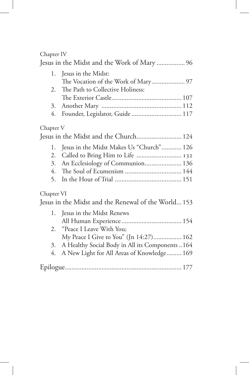#### Chapter IV

| Jesus in the Midst and the Work of Mary  96         |                                                  |  |
|-----------------------------------------------------|--------------------------------------------------|--|
|                                                     | 1. Jesus in the Midst:                           |  |
|                                                     |                                                  |  |
| 2.                                                  | The Path to Collective Holiness:                 |  |
|                                                     |                                                  |  |
| 3.                                                  |                                                  |  |
| 4.                                                  | Founder, Legislator, Guide  117                  |  |
| Chapter V                                           |                                                  |  |
| Jesus in the Midst and the Church 124               |                                                  |  |
| 1.                                                  | Jesus in the Midst Makes Us "Church" 126         |  |
| 2.                                                  | Called to Bring Him to Life  132                 |  |
| 3.                                                  | An Ecclesiology of Communion 136                 |  |
|                                                     |                                                  |  |
| 5.                                                  |                                                  |  |
| Chapter VI                                          |                                                  |  |
| Jesus in the Midst and the Renewal of the World 153 |                                                  |  |
|                                                     | 1. Jesus in the Midst Renews                     |  |
|                                                     |                                                  |  |
|                                                     | 2. "Peace I Leave With You;                      |  |
|                                                     | My Peace I Give to You" (Jn 14:27) 162           |  |
| 3.                                                  | A Healthy Social Body in All its Components  164 |  |
| 4.                                                  | A New Light for All Areas of Knowledge 169       |  |
|                                                     |                                                  |  |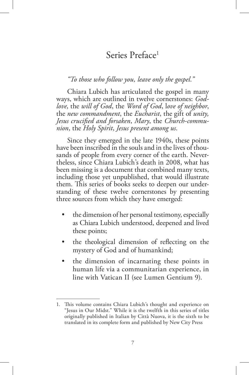## Series Preface<sup>1</sup>

#### *"To those who follow you, leave only the gospel."*

Chiara Lubich has articulated the gospel in many ways, which are outlined in twelve cornerstones: *Godlove*, the *will of God*, the *Word of God*, l*ove of neighbor*, the *new commandment*, the *Eucharist*, the gift of *unity, Jesus crucified and forsaken*, *Mary*, the *Church-communion*, the *Holy Spirit*, *Jesus present among us*.

Since they emerged in the late 1940s, these points have been inscribed in the souls and in the lives of thousands of people from every corner of the earth. Nevertheless, since Chiara Lubich's death in 2008, what has been missing is a document that combined many texts, including those yet unpublished, that would illustrate them. This series of books seeks to deepen our understanding of these twelve cornerstones by presenting three sources from which they have emerged:

- the dimension of her personal testimony, especially as Chiara Lubich understood, deepened and lived these points;
- the theological dimension of reflecting on the mystery of God and of humankind;
- the dimension of incarnating these points in human life via a communitarian experience, in line with Vatican II (see Lumen Gentium 9).

<sup>1.</sup> This volume contains Chiara Lubich's thought and experience on "Jesus in Our Midst." While it is the twelfth in this series of titles originally published in Italian by Città Nuova, it is the sixth to be translated in its complete form and published by New City Press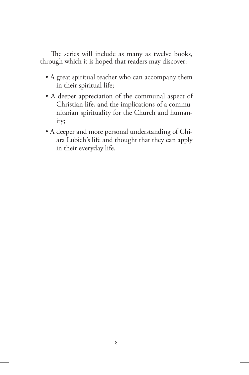The series will include as many as twelve books, through which it is hoped that readers may discover:

- A great spiritual teacher who can accompany them in their spiritual life;
- A deeper appreciation of the communal aspect of Christian life, and the implications of a communitarian spirituality for the Church and humanity;
- A deeper and more personal understanding of Chiara Lubich's life and thought that they can apply in their everyday life.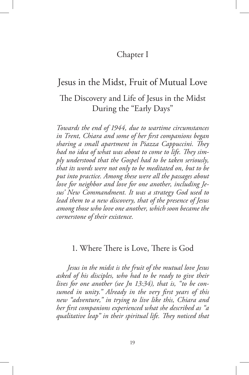## Chapter I

# Jesus in the Midst, Fruit of Mutual Love The Discovery and Life of Jesus in the Midst During the "Early Days"

*Towards the end of 1944, due to wartime circumstances in Trent, Chiara and some of her first companions began sharing a small apartment in Piazza Cappuccini. They had no idea of what was about to come to life. They simply understood that the Gospel had to be taken seriously, that its words were not only to be meditated on, but to be put into practice. Among these were all the passages about love for neighbor and love for one another, including Jesus' New Commandment. It was a strategy God used to lead them to a new discovery, that of the presence of Jesus among those who love one another, which soon became the cornerstone of their existence.*

#### 1. Where There is Love, There is God

*Jesus in the midst is the fruit of the mutual love Jesus asked of his disciples, who had to be ready to give their lives for one another (see Jn 13:34), that is, "to be consumed in unity." Already in the very first years of this new "adventure," in trying to live like this, Chiara and her first companions experienced what she described as "a qualitative leap" in their spiritual life. They noticed that*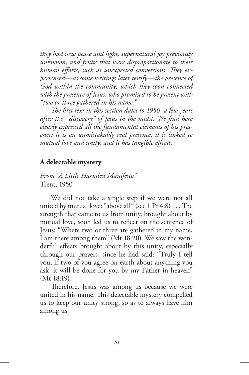*they had new peace and light, supernatural joy previously unknown, and fruits that were disproportionate to their human efforts, such as unexpected conversions. They experienced—as some writings later testify—the presence of God within the community, which they soon connected with the presence of Jesus, who promised to be present with "two or three gathered in his name."*

*The first text in this section dates to 1950, a few years after the "discovery" of Jesus in the midst. We find here clearly expressed all the fundamental elements of his presence: it is an unmistakably real presence, it is linked to mutual love and unity, and it has tangible effects.*

#### **A delectable mystery**

*From "A Little Harmless Manifesto"* Trent, 1950

We did not take a single step if we were not all united by mutual love: "above all" (see 1 Pt 4:8) . . . The strength that came to us from unity, brought about by mutual love, soon led us to reflect on the sentence of Jesus: "Where two or three are gathered in my name, I am there among them" (Mt 18:20). We saw the wonderful effects brought about by this unity, especially through our prayers, since he had said: "Truly I tell you, if two of you agree on earth about anything you ask, it will be done for you by my Father in heaven" (Mt 18:19).

Therefore, Jesus was among us because we were united in his name. This delectable mystery compelled us to keep our unity strong, so as to always have him among us.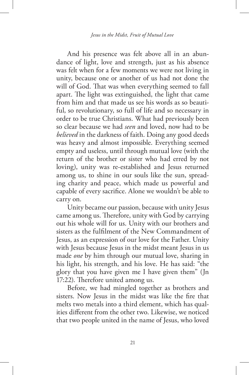And his presence was felt above all in an abundance of light, love and strength, just as his absence was felt when for a few moments we were not living in unity, because one or another of us had not done the will of God. That was when everything seemed to fall apart. The light was extinguished, the light that came from him and that made us see his words as so beautiful, so revolutionary, so full of life and so necessary in order to be true Christians. What had previously been so clear because we had *seen* and loved, now had to be *believed* in the darkness of faith. Doing any good deeds was heavy and almost impossible. Everything seemed empty and useless, until through mutual love (with the return of the brother or sister who had erred by not loving), unity was re-established and Jesus returned among us, to shine in our souls like the sun, spreading charity and peace, which made us powerful and capable of every sacrifice. Alone we wouldn't be able to carry on.

Unity became our passion, because with unity Jesus came among us. Therefore, unity with God by carrying out his whole will for us. Unity with our brothers and sisters as the fulfilment of the New Commandment of Jesus, as an expression of our love for the Father. Unity with Jesus because Jesus in the midst meant Jesus in us made *one* by him through our mutual love, sharing in his light, his strength, and his love. He has said: "the glory that you have given me I have given them" (Jn 17:22). Therefore united among us.

Before, we had mingled together as brothers and sisters. Now Jesus in the midst was like the fire that melts two metals into a third element, which has qualities different from the other two. Likewise, we noticed that two people united in the name of Jesus, who loved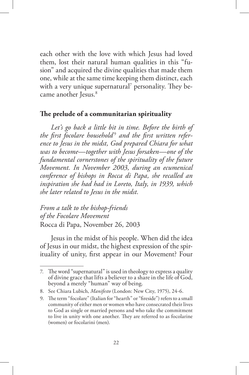each other with the love with which Jesus had loved them, lost their natural human qualities in this "fusion" and acquired the divine qualities that made them one, while at the same time keeping them distinct, each with a very unique supernatural $^7$  personality. They became another Jesus.<sup>8</sup>

#### **The prelude of a communitarian spirituality**

*Let's go back a little bit in time. Before the birth of the first focolare household* <sup>9</sup>  *and the first written reference to Jesus in the midst, God prepared Chiara for what was to become—together with Jesus forsaken—one of the fundamental cornerstones of the spirituality of the future Movement. In November 2003, during an ecumenical conference of bishops in Rocca di Papa, she recalled an inspiration she had had in Loreto, Italy, in 1939, which she later related to Jesus in the midst.*

*From a talk to the bishop-friends of the Focolare Movement* Rocca di Papa, November 26, 2003

Jesus in the midst of his people. When did the idea of Jesus in our midst, the highest expression of the spirituality of unity, first appear in our Movement? Four

<sup>7.</sup> The word "supernatural" is used in theology to express a quality of divine grace that lifts a believer to a share in the life of God, beyond a merely "human" way of being.

<sup>8.</sup> See Chiara Lubich, *Manifesto* (London: New City, 1975), 24-6.

<sup>9.</sup> The term "focolare" (Italian for "hearth" or "fireside") refers to a small community of either men or women who have consecrated their lives to God as single or married persons and who take the commitment to live in unity with one another. They are referred to as focolarine (women) or focolarini (men).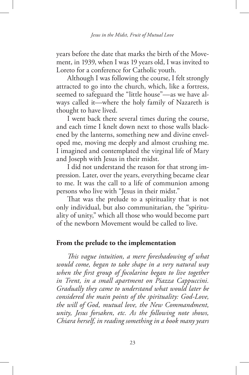years before the date that marks the birth of the Movement, in 1939, when I was 19 years old, I was invited to Loreto for a conference for Catholic youth.

Although I was following the course, I felt strongly attracted to go into the church, which, like a fortress, seemed to safeguard the "little house"—as we have always called it—where the holy family of Nazareth is thought to have lived.

I went back there several times during the course, and each time I knelt down next to those walls blackened by the lanterns, something new and divine enveloped me, moving me deeply and almost crushing me. I imagined and contemplated the virginal life of Mary and Joseph with Jesus in their midst.

I did not understand the reason for that strong impression. Later, over the years, everything became clear to me. It was the call to a life of communion among persons who live with "Jesus in their midst."

That was the prelude to a spirituality that is not only individual, but also communitarian, the "spirituality of unity," which all those who would become part of the newborn Movement would be called to live.

#### **From the prelude to the implementation**

*This vague intuition, a mere foreshadowing of what would come, began to take shape in a very natural way when the first group of focolarine began to live together in Trent, in a small apartment on Piazza Cappuccini. Gradually they came to understand what would later be considered the main points of the spirituality: God-Love, the will of God, mutual love, the New Commandment, unity, Jesus forsaken, etc. As the following note shows, Chiara herself, in reading something in a book many years*